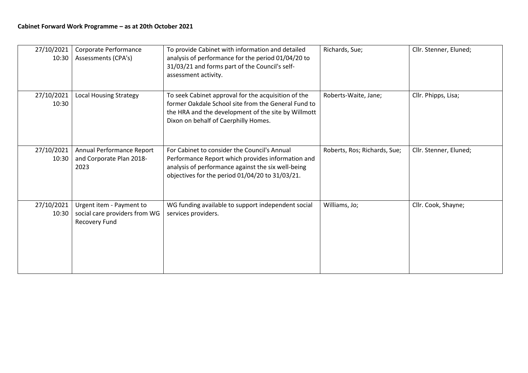| 27/10/2021<br>10:30 | Corporate Performance<br>Assessments (CPA's)                               | To provide Cabinet with information and detailed<br>analysis of performance for the period 01/04/20 to<br>31/03/21 and forms part of the Council's self-<br>assessment activity.                           | Richards, Sue;               | Cllr. Stenner, Eluned; |
|---------------------|----------------------------------------------------------------------------|------------------------------------------------------------------------------------------------------------------------------------------------------------------------------------------------------------|------------------------------|------------------------|
| 27/10/2021<br>10:30 | <b>Local Housing Strategy</b>                                              | To seek Cabinet approval for the acquisition of the<br>former Oakdale School site from the General Fund to<br>the HRA and the development of the site by Willmott<br>Dixon on behalf of Caerphilly Homes.  | Roberts-Waite, Jane;         | Cllr. Phipps, Lisa;    |
| 27/10/2021<br>10:30 | Annual Performance Report<br>and Corporate Plan 2018-<br>2023              | For Cabinet to consider the Council's Annual<br>Performance Report which provides information and<br>analysis of performance against the six well-being<br>objectives for the period 01/04/20 to 31/03/21. | Roberts, Ros; Richards, Sue; | Cllr. Stenner, Eluned; |
| 27/10/2021<br>10:30 | Urgent item - Payment to<br>social care providers from WG<br>Recovery Fund | WG funding available to support independent social<br>services providers.                                                                                                                                  | Williams, Jo;                | Cllr. Cook, Shayne;    |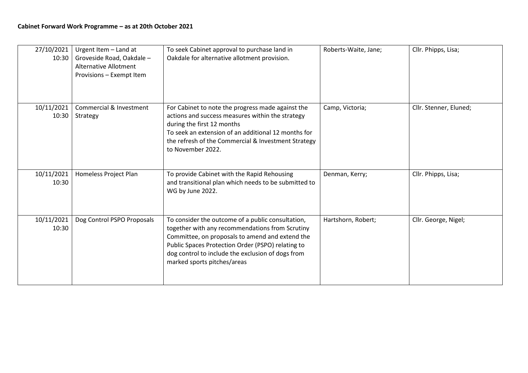| 27/10/2021<br>10:30 | Urgent Item - Land at<br>Groveside Road, Oakdale -<br><b>Alternative Allotment</b><br>Provisions - Exempt Item | To seek Cabinet approval to purchase land in<br>Oakdale for alternative allotment provision.                                                                                                                                                                                                     | Roberts-Waite, Jane; | Cllr. Phipps, Lisa;    |
|---------------------|----------------------------------------------------------------------------------------------------------------|--------------------------------------------------------------------------------------------------------------------------------------------------------------------------------------------------------------------------------------------------------------------------------------------------|----------------------|------------------------|
| 10/11/2021<br>10:30 | Commercial & Investment<br>Strategy                                                                            | For Cabinet to note the progress made against the<br>actions and success measures within the strategy<br>during the first 12 months<br>To seek an extension of an additional 12 months for<br>the refresh of the Commercial & Investment Strategy<br>to November 2022.                           | Camp, Victoria;      | Cllr. Stenner, Eluned; |
| 10/11/2021<br>10:30 | Homeless Project Plan                                                                                          | To provide Cabinet with the Rapid Rehousing<br>and transitional plan which needs to be submitted to<br>WG by June 2022.                                                                                                                                                                          | Denman, Kerry;       | Cllr. Phipps, Lisa;    |
| 10/11/2021<br>10:30 | Dog Control PSPO Proposals                                                                                     | To consider the outcome of a public consultation,<br>together with any recommendations from Scrutiny<br>Committee, on proposals to amend and extend the<br>Public Spaces Protection Order (PSPO) relating to<br>dog control to include the exclusion of dogs from<br>marked sports pitches/areas | Hartshorn, Robert;   | Cllr. George, Nigel;   |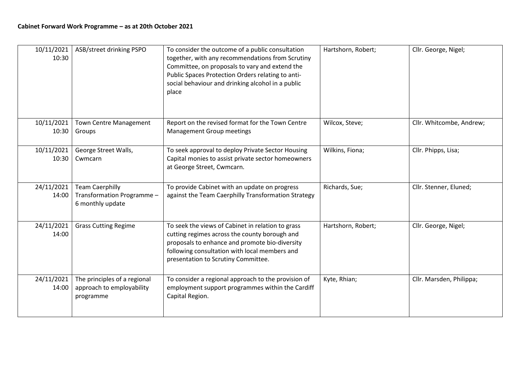| 10/11/2021<br>10:30 | ASB/street drinking PSPO                                                 | To consider the outcome of a public consultation<br>together, with any recommendations from Scrutiny<br>Committee, on proposals to vary and extend the<br>Public Spaces Protection Orders relating to anti-<br>social behaviour and drinking alcohol in a public<br>place | Hartshorn, Robert; | Cllr. George, Nigel;     |
|---------------------|--------------------------------------------------------------------------|---------------------------------------------------------------------------------------------------------------------------------------------------------------------------------------------------------------------------------------------------------------------------|--------------------|--------------------------|
| 10/11/2021<br>10:30 | <b>Town Centre Management</b><br>Groups                                  | Report on the revised format for the Town Centre<br>Management Group meetings                                                                                                                                                                                             | Wilcox, Steve;     | Cllr. Whitcombe, Andrew; |
| 10/11/2021<br>10:30 | George Street Walls,<br>Cwmcarn                                          | To seek approval to deploy Private Sector Housing<br>Capital monies to assist private sector homeowners<br>at George Street, Cwmcarn.                                                                                                                                     | Wilkins, Fiona;    | Cllr. Phipps, Lisa;      |
| 24/11/2021<br>14:00 | <b>Team Caerphilly</b><br>Transformation Programme -<br>6 monthly update | To provide Cabinet with an update on progress<br>against the Team Caerphilly Transformation Strategy                                                                                                                                                                      | Richards, Sue;     | Cllr. Stenner, Eluned;   |
| 24/11/2021<br>14:00 | <b>Grass Cutting Regime</b>                                              | To seek the views of Cabinet in relation to grass<br>cutting regimes across the county borough and<br>proposals to enhance and promote bio-diversity<br>following consultation with local members and<br>presentation to Scrutiny Committee.                              | Hartshorn, Robert; | Cllr. George, Nigel;     |
| 24/11/2021<br>14:00 | The principles of a regional<br>approach to employability<br>programme   | To consider a regional approach to the provision of<br>employment support programmes within the Cardiff<br>Capital Region.                                                                                                                                                | Kyte, Rhian;       | Cllr. Marsden, Philippa; |